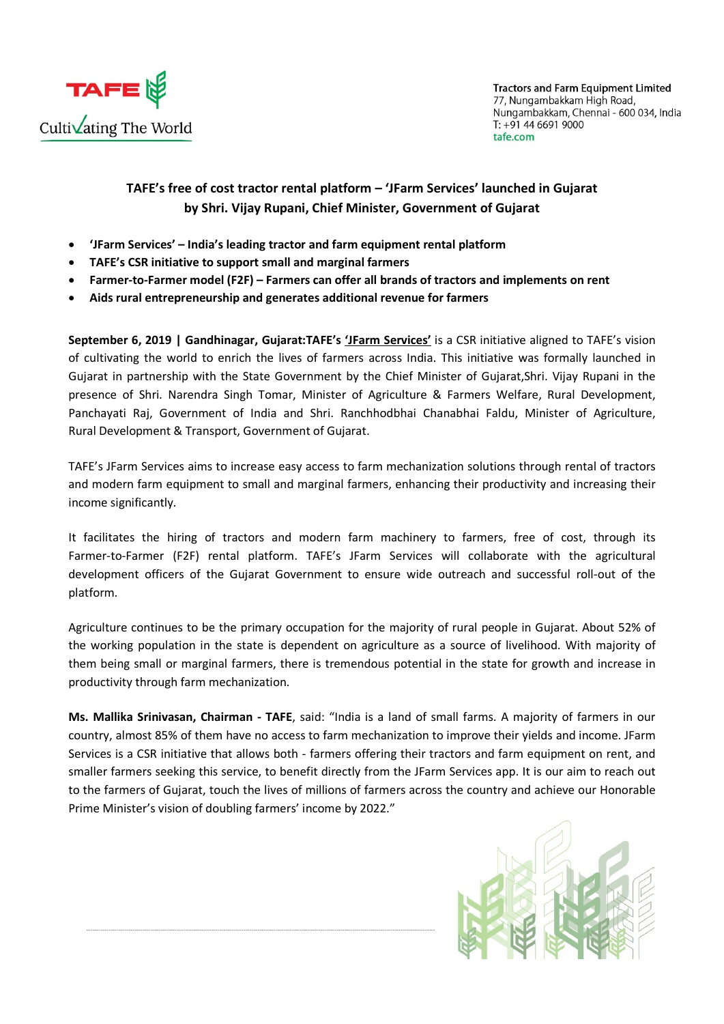

**Tractors and Farm Equipment Limited** 77, Nungambakkam High Road, Nungambakkam, Chennai - 600 034, India T: +91 44 6691 9000 tafe.com

## TAFE's free of cost tractor rental platform – 'JFarm Services' launched in Gujarat by Shri. Vijay Rupani, Chief Minister, Government of Gujarat

- 'JFarm Services' India's leading tractor and farm equipment rental platform
- TAFE's CSR initiative to support small and marginal farmers
- Farmer-to-Farmer model (F2F) Farmers can offer all brands of tractors and implements on rent
- Aids rural entrepreneurship and generates additional revenue for farmers

September 6, 2019 | Gandhinagar, Gujarat:TAFE's 'JFarm Services' is a CSR initiative aligned to TAFE's vision of cultivating the world to enrich the lives of farmers across India. This initiative was formally launched in Gujarat in partnership with the State Government by the Chief Minister of Gujarat,Shri. Vijay Rupani in the presence of Shri. Narendra Singh Tomar, Minister of Agriculture & Farmers Welfare, Rural Development, Panchayati Raj, Government of India and Shri. Ranchhodbhai Chanabhai Faldu, Minister of Agriculture, Rural Development & Transport, Government of Gujarat.

TAFE's JFarm Services aims to increase easy access to farm mechanization solutions through rental of tractors and modern farm equipment to small and marginal farmers, enhancing their productivity and increasing their income significantly.

It facilitates the hiring of tractors and modern farm machinery to farmers, free of cost, through its Farmer-to-Farmer (F2F) rental platform. TAFE's JFarm Services will collaborate with the agricultural development officers of the Gujarat Government to ensure wide outreach and successful roll-out of the platform.

Agriculture continues to be the primary occupation for the majority of rural people in Gujarat. About 52% of the working population in the state is dependent on agriculture as a source of livelihood. With majority of them being small or marginal farmers, there is tremendous potential in the state for growth and increase in productivity through farm mechanization.

Ms. Mallika Srinivasan, Chairman - TAFE, said: "India is a land of small farms. A majority of farmers in our country, almost 85% of them have no access to farm mechanization to improve their yields and income. JFarm Services is a CSR initiative that allows both - farmers offering their tractors and farm equipment on rent, and smaller farmers seeking this service, to benefit directly from the JFarm Services app. It is our aim to reach out to the farmers of Gujarat, touch the lives of millions of farmers across the country and achieve our Honorable Prime Minister's vision of doubling farmers' income by 2022."

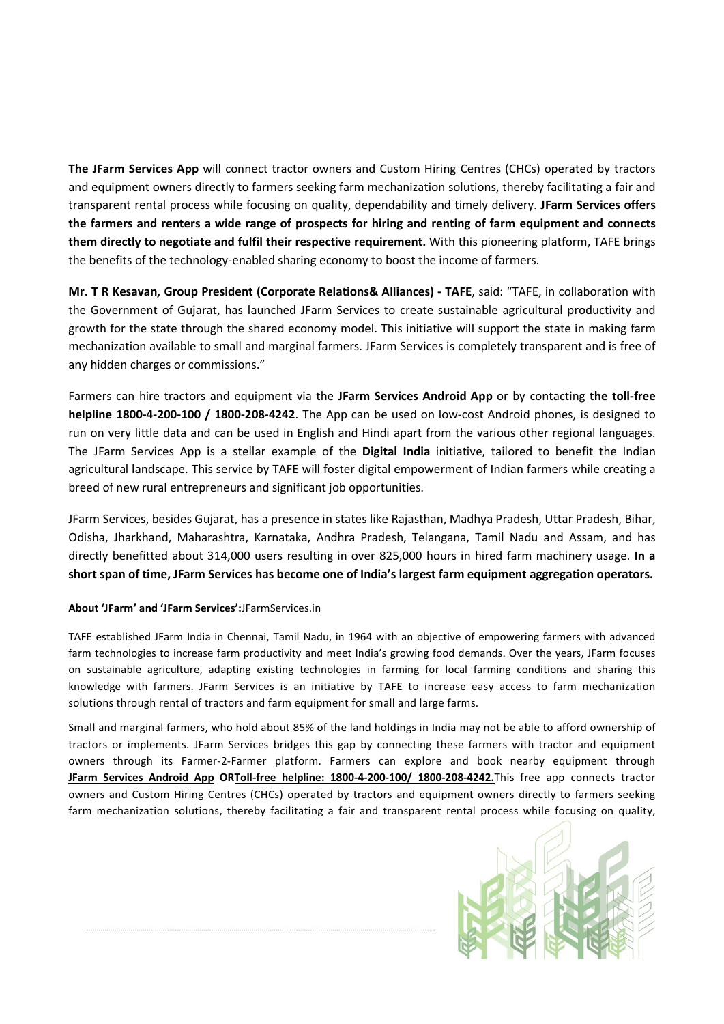The JFarm Services App will connect tractor owners and Custom Hiring Centres (CHCs) operated by tractors and equipment owners directly to farmers seeking farm mechanization solutions, thereby facilitating a fair and transparent rental process while focusing on quality, dependability and timely delivery. JFarm Services offers the farmers and renters a wide range of prospects for hiring and renting of farm equipment and connects them directly to negotiate and fulfil their respective requirement. With this pioneering platform, TAFE brings the benefits of the technology-enabled sharing economy to boost the income of farmers.

Mr. T R Kesavan, Group President (Corporate Relations& Alliances) - TAFE, said: "TAFE, in collaboration with the Government of Gujarat, has launched JFarm Services to create sustainable agricultural productivity and growth for the state through the shared economy model. This initiative will support the state in making farm mechanization available to small and marginal farmers. JFarm Services is completely transparent and is free of any hidden charges or commissions."

Farmers can hire tractors and equipment via the JFarm Services Android App or by contacting the toll-free helpline 1800-4-200-100 / 1800-208-4242. The App can be used on low-cost Android phones, is designed to run on very little data and can be used in English and Hindi apart from the various other regional languages. The JFarm Services App is a stellar example of the Digital India initiative, tailored to benefit the Indian agricultural landscape. This service by TAFE will foster digital empowerment of Indian farmers while creating a breed of new rural entrepreneurs and significant job opportunities.

JFarm Services, besides Gujarat, has a presence in states like Rajasthan, Madhya Pradesh, Uttar Pradesh, Bihar, Odisha, Jharkhand, Maharashtra, Karnataka, Andhra Pradesh, Telangana, Tamil Nadu and Assam, and has directly benefitted about 314,000 users resulting in over 825,000 hours in hired farm machinery usage. In a short span of time, JFarm Services has become one of India's largest farm equipment aggregation operators.

## About 'JFarm' and 'JFarm Services':JFarmServices.in

TAFE established JFarm India in Chennai, Tamil Nadu, in 1964 with an objective of empowering farmers with advanced farm technologies to increase farm productivity and meet India's growing food demands. Over the years, JFarm focuses on sustainable agriculture, adapting existing technologies in farming for local farming conditions and sharing this knowledge with farmers. JFarm Services is an initiative by TAFE to increase easy access to farm mechanization solutions through rental of tractors and farm equipment for small and large farms.

Small and marginal farmers, who hold about 85% of the land holdings in India may not be able to afford ownership of tractors or implements. JFarm Services bridges this gap by connecting these farmers with tractor and equipment owners through its Farmer-2-Farmer platform. Farmers can explore and book nearby equipment through JFarm Services Android App ORToll-free helpline: 1800-4-200-100/ 1800-208-4242. This free app connects tractor owners and Custom Hiring Centres (CHCs) operated by tractors and equipment owners directly to farmers seeking farm mechanization solutions, thereby facilitating a fair and transparent rental process while focusing on quality,